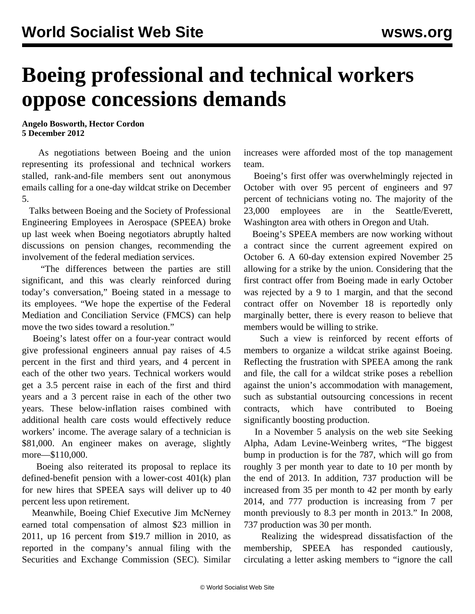## **Boeing professional and technical workers oppose concessions demands**

**Angelo Bosworth, Hector Cordon 5 December 2012**

 As negotiations between Boeing and the union representing its professional and technical workers stalled, rank-and-file members sent out anonymous emails calling for a one-day wildcat strike on December 5.

 Talks between Boeing and the Society of Professional Engineering Employees in Aerospace (SPEEA) broke up last week when Boeing negotiators abruptly halted discussions on pension changes, recommending the involvement of the federal mediation services.

 "The differences between the parties are still significant, and this was clearly reinforced during today's conversation," Boeing stated in a message to its employees. "We hope the expertise of the Federal Mediation and Conciliation Service (FMCS) can help move the two sides toward a resolution."

 Boeing's latest offer on a four-year contract would give professional engineers annual pay raises of 4.5 percent in the first and third years, and 4 percent in each of the other two years. Technical workers would get a 3.5 percent raise in each of the first and third years and a 3 percent raise in each of the other two years. These below-inflation raises combined with additional health care costs would effectively reduce workers' income. The average salary of a technician is \$81,000. An engineer makes on average, slightly more—\$110,000.

 Boeing also reiterated its proposal to replace its defined-benefit pension with a lower-cost 401(k) plan for new hires that SPEEA says will deliver up to 40 percent less upon retirement.

 Meanwhile, Boeing Chief Executive Jim McNerney earned total compensation of almost \$23 million in 2011, up 16 percent from \$19.7 million in 2010, as reported in the company's annual filing with the Securities and Exchange Commission (SEC). Similar increases were afforded most of the top management team.

 Boeing's first offer was overwhelmingly rejected in October with over 95 percent of engineers and 97 percent of technicians voting no. The majority of the 23,000 employees are in the Seattle/Everett, Washington area with others in Oregon and Utah.

 Boeing's SPEEA members are now working without a contract since the current agreement expired on October 6. A 60-day extension expired November 25 allowing for a strike by the union. Considering that the first contract offer from Boeing made in early October was rejected by a 9 to 1 margin, and that the second contract offer on November 18 is reportedly only marginally better, there is every reason to believe that members would be willing to strike.

 Such a view is reinforced by recent efforts of members to organize a wildcat strike against Boeing. Reflecting the frustration with SPEEA among the rank and file, the call for a wildcat strike poses a rebellion against the union's accommodation with management, such as substantial outsourcing concessions in recent contracts, which have contributed to Boeing significantly boosting production.

 In a November 5 analysis on the web site Seeking Alpha, Adam Levine-Weinberg writes, "The biggest bump in production is for the 787, which will go from roughly 3 per month year to date to 10 per month by the end of 2013. In addition, 737 production will be increased from 35 per month to 42 per month by early 2014, and 777 production is increasing from 7 per month previously to 8.3 per month in 2013." In 2008, 737 production was 30 per month.

 Realizing the widespread dissatisfaction of the membership, SPEEA has responded cautiously, circulating a letter asking members to "ignore the call